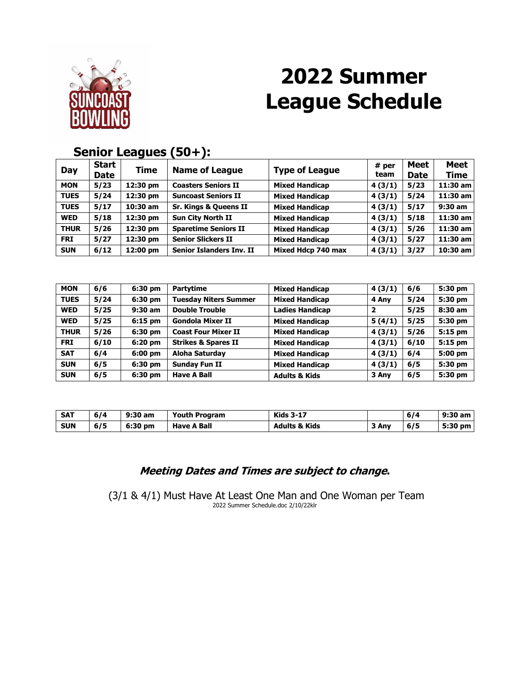

# **2022 Summer League Schedule**

#### **Day Start Dame of League Type of League # per #** per *t***<sub>com</sub> team Meet Date Meet Time MON 5/23 12:30 pm Coasters Seniors II Mixed Handicap 4 (3/1) 5/23 11:30 am TUES 5/24 12:30 pm Suncoast Seniors II Mixed Handicap 4 (3/1) 5/24 11:30 am TUES 5/17 10:30 am Sr. Kings & Queens II Mixed Handicap 4 (3/1) 5/17 9:30 am WED 5/18 12:30 pm Sun City North II Mixed Handicap 4 (3/1) 5/18 11:30 am THUR 5/26 12:30 pm Sparetime Seniors II Mixed Handicap 4 (3/1) 5/26 11:30 am FRI 5/27 12:30 pm Senior Slickers II Mixed Handicap 4 (3/1) 5/27 11:30 am SUN 6/12 12:00 pm Senior Islanders Inv. II Mixed Hdcp 740 max 4 (3/1) 3/27 10:30 am**

### **Senior Leagues (50+):**

| <b>MON</b>  | 6/6  | 6:30 pm   | <b>Partytime</b>               | <b>Mixed Handicap</b>    | 4(3/1) | 6/6  | 5:30 pm |
|-------------|------|-----------|--------------------------------|--------------------------|--------|------|---------|
| <b>TUES</b> | 5/24 | 6:30 pm   | <b>Tuesday Niters Summer</b>   | <b>Mixed Handicap</b>    | 4 Any  | 5/24 | 5:30 pm |
| <b>WED</b>  | 5/25 | $9:30$ am | <b>Double Trouble</b>          | <b>Ladies Handicap</b>   | 2      | 5/25 | 8:30 am |
| <b>WED</b>  | 5/25 | 6:15 pm   | <b>Gondola Mixer II</b>        | <b>Mixed Handicap</b>    | 5(4/1) | 5/25 | 5:30 pm |
| <b>THUR</b> | 5/26 | 6:30 pm   | <b>Coast Four Mixer II</b>     | <b>Mixed Handicap</b>    | 4(3/1) | 5/26 | 5:15 pm |
| <b>FRI</b>  | 6/10 | $6:20$ pm | <b>Strikes &amp; Spares II</b> | <b>Mixed Handicap</b>    | 4(3/1) | 6/10 | 5:15 pm |
| <b>SAT</b>  | 6/4  | $6:00$ pm | Aloha Saturday                 | <b>Mixed Handicap</b>    | 4(3/1) | 6/4  | 5:00 pm |
| <b>SUN</b>  | 6/5  | 6:30 pm   | <b>Sunday Fun II</b>           | <b>Mixed Handicap</b>    | 4(3/1) | 6/5  | 5:30 pm |
| <b>SUN</b>  | 6/5  | 6:30 pm   | <b>Have A Ball</b>             | <b>Adults &amp; Kids</b> | 3 Anv  | 6/5  | 5:30 pm |

| SAT        | 6/4 | 9:30 am | <b>Youth Program</b> | <b>Kids 3-17</b>         |       | 6/4 | $9:30$ am |
|------------|-----|---------|----------------------|--------------------------|-------|-----|-----------|
| <b>SUN</b> | 6/5 | 6:30 pm | <b>Have A Ball</b>   | <b>Adults &amp; Kids</b> | 3 Anv | 6/5 | 5:30 pm   |

#### **Meeting Dates and Times are subject to change.**

(3/1 & 4/1) Must Have At Least One Man and One Woman per Team 2022 Summer Schedule.doc 2/10/22klr